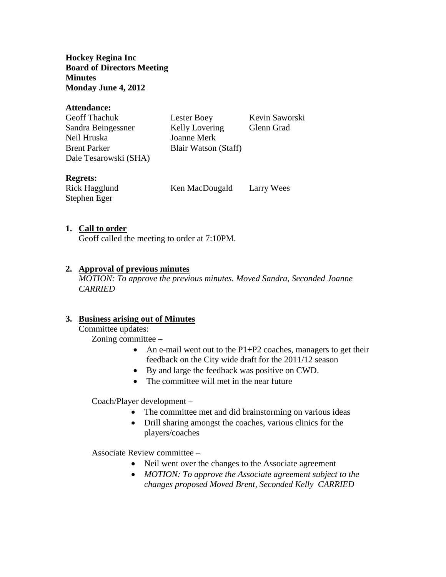**Hockey Regina Inc Board of Directors Meeting Minutes Monday June 4, 2012**

#### **Attendance:**

| <b>Geoff Thachuk</b>  | Lester Boey           | Kevin Saworski |
|-----------------------|-----------------------|----------------|
| Sandra Beingessner    | <b>Kelly Lovering</b> | Glenn Grad     |
| Neil Hruska           | Joanne Merk           |                |
| <b>Brent Parker</b>   | Blair Watson (Staff)  |                |
| Dale Tesarowski (SHA) |                       |                |

#### **Regrets:**

Stephen Eger

Rick Hagglund Ken MacDougald Larry Wees

#### **1. Call to order**

Geoff called the meeting to order at 7:10PM.

### **2. Approval of previous minutes**

*MOTION: To approve the previous minutes. Moved Sandra, Seconded Joanne CARRIED*

#### **3. Business arising out of Minutes**

Committee updates:

Zoning committee –

- An e-mail went out to the  $P1+P2$  coaches, managers to get their feedback on the City wide draft for the 2011/12 season
- By and large the feedback was positive on CWD.
- The committee will met in the near future

Coach/Player development –

- The committee met and did brainstorming on various ideas
- Drill sharing amongst the coaches, various clinics for the players/coaches

Associate Review committee –

- Neil went over the changes to the Associate agreement
- *MOTION: To approve the Associate agreement subject to the changes proposed Moved Brent, Seconded Kelly CARRIED*